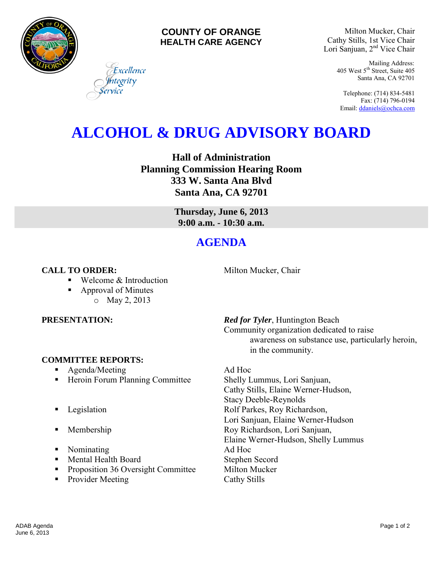

## **COUNTY OF ORANGE HEALTH CARE AGENCY**

Milton Mucker, Chair Cathy Stills, 1st Vice Chair Lori Sanjuan, 2nd Vice Chair

> Mailing Address: 405 West 5th Street, Suite 405 Santa Ana, CA 92701

Telephone: (714) 834-5481 Fax: (714) 796-0194 Email[: ddaniels@ochca.com](mailto:ddaniels@ochca.com)

# **ALCOHOL & DRUG ADVISORY BOARD**

**Hall of Administration Planning Commission Hearing Room 333 W. Santa Ana Blvd Santa Ana, CA 92701** 

> **Thursday, June 6, 2013 9:00 a.m. - 10:30 a.m.**

## **AGENDA**

## **CALL TO ORDER:** Milton Mucker, Chair

Welcome & Introduction

Excellence tegrity

 Approval of Minutes o May 2, 2013

## **COMMITTEE REPORTS:**

- Agenda/Meeting Ad Hoc
- Heroin Forum Planning Committee Shelly Lummus, Lori Sanjuan,
- 
- 
- Nominating Ad Hoc
- Mental Health Board Stephen Secord
- **Proposition 36 Oversight Committee Milton Mucker**
- Provider Meeting Cathy Stills

**PRESENTATION:** *Red for Tyler*, Huntington Beach Community organization dedicated to raise awareness on substance use, particularly heroin, in the community.

Cathy Stills, Elaine Werner-Hudson, Stacy Deeble-Reynolds **Example 3** Legislation **Rolf Parkes, Roy Richardson,** Lori Sanjuan, Elaine Werner-Hudson **Membership Roy Richardson, Lori Sanjuan,** Elaine Werner-Hudson, Shelly Lummus